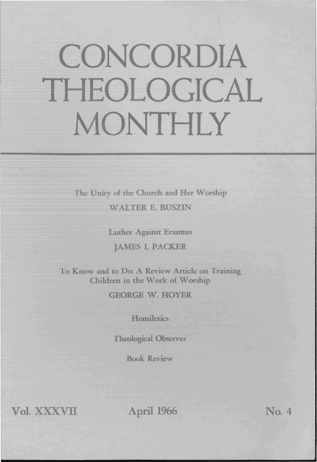## CONCORDIA THEOLOGICAL MONTHLY

The Unity of the Church and Her Worship WALTER E. BUSZIN

Luther Against Erasmus

JAMES I. PACKER

To Know and to Do: A Review Article on Training Children in the Work of Worship

GEORGE W. HOYER

**Homiletics** 

Theological Observer

Book Review

Vol. XXXVII April 1966

No. 4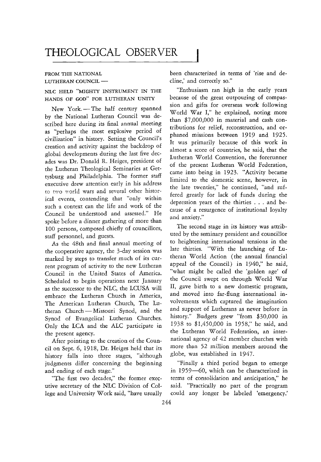## THEOLOGICAL OBSERVER

## FROM THE NATIONAL LUTHERAN COUNCIL -

NLC HELD "MIGHTY INSTRUMENT IN THE HANDS OF GOD" FOR LUTHERAN UNITY

New York.-The half century spanned by the National Lutheran Council was described here during its final annual meeting as "perhaps the most explosive period of civilization" **in** history. Setting the Council's creation and activity against the backdrop of global developments during the last five decades was Dr. Donald R. Heiges, president of the Lutheran Theological Seminaries at Gettysburg and Philadelphia. The former staff executive drew attention early in his address to two world wars and several other historical events, contending that "only within such a context can the life and work of the Council be understood and assessed." He spoke before a dinner gathering of more than 100 persons, composed chiefly of councillors, staff personnel, and guests.

As the 48th and final annual meeting of the cooperative agency, the 3-day session was marked by steps to transfer much of its current program of activity to the new Lutheran Council **in** the United States of America. Scheduled to begin operations next January as the successor to the NLC, the LCUSA will embrace the Lutheran Church in America, The American Lutheran Church, The Lutheran Church - Missouri Synod, and the Synod of Evangelical Lutheran Churches. Only the LCA and the ALC participate in the present agency.

After pointing to the creation of the Council on Sept. 6, 1918, Dr. Heiges held that its history falls into three stages, "although judgments differ concerning the beginning and ending of each stage."

"The first two decades," the former executive secretary of the NLC Division of College and University Work said, "have usually been characterized in terms of 'rise and decline,' and correctly so."

"Enthusiasm ran high in the early years because of the great outpouring of compassion and gifts for overseas work following World War I," he explained, noting more than \$7,000,000 in material and cash contributions for relief, reconstruction, and orphaned missions between 1919 and 1925. It was primarily because of this work in almost a score of countries, he said, that the Lutheran World Convention, the forerunner of the present Lutheran World Federation, came into being in 1923. "Activity became limited to the domestic scene, however, in the late twenties," he continued, "and suffered greatly for lack of funds during the depression years of the thirties . . . and because of a resurgence of institutional loyalty and anxiety."

The second stage in its history was attributed by the seminary president and councillor to heightening international tensions in the late thirties. "With the launching of Lutheran World Action (the annual financial appeal of the Council) in 1940," he said, "what might be called the 'golden age' of the Council swept on through World War II, gave birth to a new domestic program, and moved into far-flung international involvements which captured the imagination and support of Lutherans as never before in history." Budgets grew "from \$30,000 in 1938 to \$1,450,000 in 1958," he said, and the Lutheran World Federation, an international agency of 42 member churches with more than 52 million members around the globe, was established in 1947.

"Finally a third period began to emerge in 1959-60, which can be characterized in terms of consolidation and anticipation," he said. "Practically no part of the program could any longer be labeled 'emergency.'